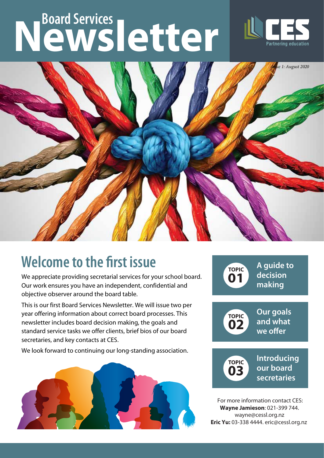# **Newsletter Board Services**





## **Welcome to the first issue**

We appreciate providing secretarial services for your school board. Our work ensures you have an independent, confidential and objective observer around the board table.

This is our first Board Services Newsletter. We will issue two per year offering information about correct board processes. This newsletter includes board decision making, the goals and standard service tasks we offer clients, brief bios of our board secretaries, and key contacts at CES.

We look forward to continuing our long-standing association.





For more information contact CES: **Wayne Jamieson**: 021-399 744. wayne@cessl.org.nz **Eric Yu:** 03-338 4444. eric@cessl.org.nz

**secretaries**